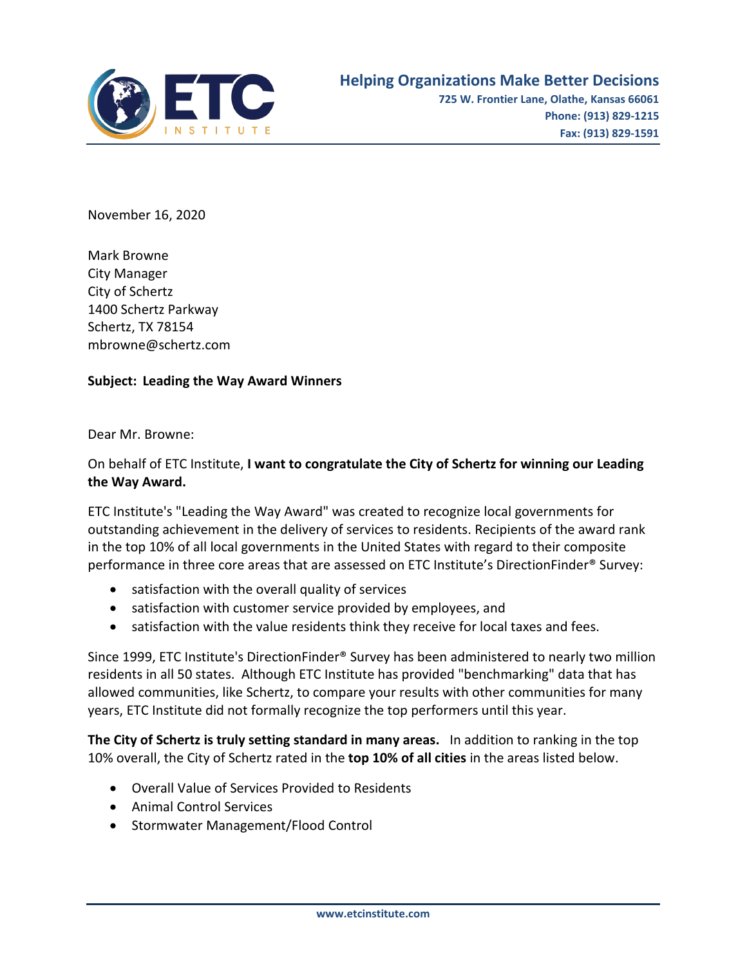

November 16, 2020

Mark Browne City Manager City of Schertz 1400 Schertz Parkway Schertz, TX 78154 mbrowne@schertz.com

## **Subject: Leading the Way Award Winners**

Dear Mr. Browne:

## On behalf of ETC Institute, **I want to congratulate the City of Schertz for winning our Leading the Way Award.**

ETC Institute's "Leading the Way Award" was created to recognize local governments for outstanding achievement in the delivery of services to residents. Recipients of the award rank in the top 10% of all local governments in the United States with regard to their composite performance in three core areas that are assessed on ETC Institute's DirectionFinder® Survey:

- satisfaction with the overall quality of services
- satisfaction with customer service provided by employees, and
- satisfaction with the value residents think they receive for local taxes and fees.

Since 1999, ETC Institute's DirectionFinder® Survey has been administered to nearly two million residents in all 50 states. Although ETC Institute has provided "benchmarking" data that has allowed communities, like Schertz, to compare your results with other communities for many years, ETC Institute did not formally recognize the top performers until this year.

**The City of Schertz is truly setting standard in many areas.** In addition to ranking in the top 10% overall, the City of Schertz rated in the **top 10% of all cities** in the areas listed below.

- Overall Value of Services Provided to Residents
- Animal Control Services
- Stormwater Management/Flood Control